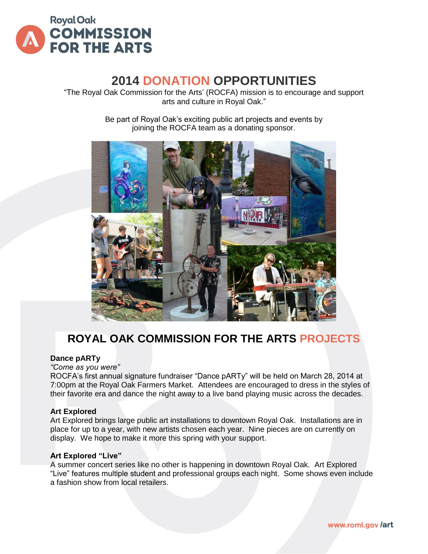

# **2014 DONATION OPPORTUNITIES**

"The Royal Oak Commission for the Arts' (ROCFA) mission is to encourage and support arts and culture in Royal Oak."

> Be part of Royal Oak's exciting public art projects and events by joining the ROCFA team as a donating sponsor.



# **ROYAL OAK COMMISSION FOR THE ARTS PROJECTS**

#### **Dance pARTy**

*"Come as you were"*

ROCFA's first annual signature fundraiser "Dance pARTy" will be held on March 28, 2014 at 7:00pm at the Royal Oak Farmers Market. Attendees are encouraged to dress in the styles of their favorite era and dance the night away to a live band playing music across the decades.

#### **Art Explored**

Art Explored brings large public art installations to downtown Royal Oak. Installations are in place for up to a year, with new artists chosen each year. Nine pieces are on currently on display. We hope to make it more this spring with your support.

#### **Art Explored "Live"**

A summer concert series like no other is happening in downtown Royal Oak. Art Explored "Live" features multiple student and professional groups each night. Some shows even include a fashion show from local retailers.